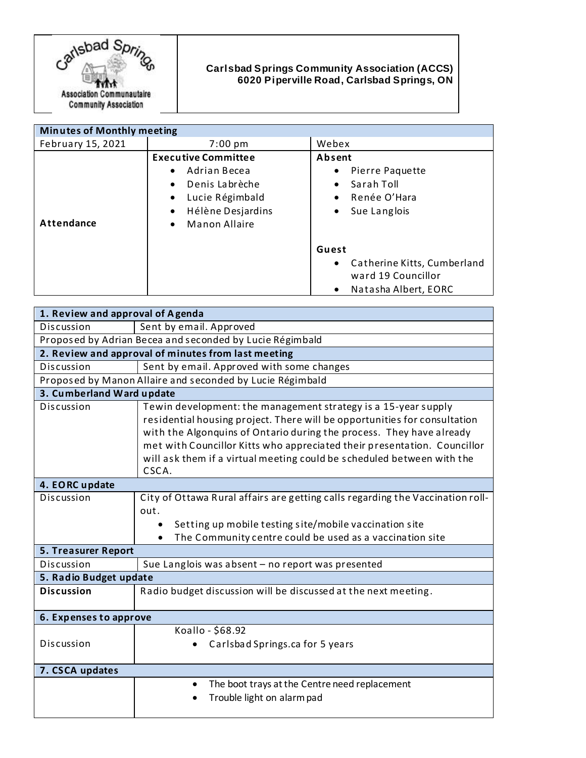

## **Carlsbad Springs Community Association (ACCS) 6020 Piperville Road, Carlsbad Springs, ON**

| <b>Minutes of Monthly meeting</b> |                                                                                                                                                                                               |                                                                                                                                                                                                                          |
|-----------------------------------|-----------------------------------------------------------------------------------------------------------------------------------------------------------------------------------------------|--------------------------------------------------------------------------------------------------------------------------------------------------------------------------------------------------------------------------|
| February 15, 2021                 | $7:00 \text{ pm}$                                                                                                                                                                             | Webex                                                                                                                                                                                                                    |
| <b>Attendance</b>                 | <b>Executive Committee</b><br>Adrian Becea<br>$\bullet$<br>Denis Labrèche<br>$\bullet$<br>Lucie Régimbald<br>$\bullet$<br>Hélène Desjardins<br>$\bullet$<br><b>Manon Allaire</b><br>$\bullet$ | Absent<br>Pierre Paquette<br>$\bullet$<br>Sarah Toll<br>$\bullet$<br>Renée O'Hara<br>$\bullet$<br>Sue Langlois<br>$\bullet$<br>Guest<br>• Catherine Kitts, Cumberland<br>ward 19 Councillor<br>Natasha Albert, EORC<br>٠ |

| 1. Review and approval of Agenda                          |                                                                                                                                                                                                                                                                                                                                                                                    |  |
|-----------------------------------------------------------|------------------------------------------------------------------------------------------------------------------------------------------------------------------------------------------------------------------------------------------------------------------------------------------------------------------------------------------------------------------------------------|--|
| Discussion                                                | Sent by email. Approved                                                                                                                                                                                                                                                                                                                                                            |  |
| Proposed by Adrian Becea and seconded by Lucie Régimbald  |                                                                                                                                                                                                                                                                                                                                                                                    |  |
| 2. Review and approval of minutes from last meeting       |                                                                                                                                                                                                                                                                                                                                                                                    |  |
| Discussion                                                | Sent by email. Approved with some changes                                                                                                                                                                                                                                                                                                                                          |  |
| Proposed by Manon Allaire and seconded by Lucie Régimbald |                                                                                                                                                                                                                                                                                                                                                                                    |  |
| 3. Cumberland Ward update                                 |                                                                                                                                                                                                                                                                                                                                                                                    |  |
| Discussion                                                | Tewin development: the management strategy is a 15-year supply<br>residential housing project. There will be opportunities for consultation<br>with the Algonquins of Ontario during the process. They have already<br>met with Councillor Kitts who appreciated their presentation. Councillor<br>will ask them if a virtual meeting could be scheduled between with the<br>CSCA. |  |
| 4. EORC update                                            |                                                                                                                                                                                                                                                                                                                                                                                    |  |
| Discussion                                                | City of Ottawa Rural affairs are getting calls regarding the Vaccination roll-<br>out.<br>Setting up mobile testing site/mobile vaccination site<br>$\bullet$<br>The Community centre could be used as a vaccination site<br>$\bullet$                                                                                                                                             |  |
| <b>5. Treasurer Report</b>                                |                                                                                                                                                                                                                                                                                                                                                                                    |  |
| Discussion                                                | Sue Langlois was absent - no report was presented                                                                                                                                                                                                                                                                                                                                  |  |
| 5. Radio Budget update                                    |                                                                                                                                                                                                                                                                                                                                                                                    |  |
| <b>Discussion</b>                                         | Radio budget discussion will be discussed at the next meeting.                                                                                                                                                                                                                                                                                                                     |  |
| 6. Expenses to approve                                    |                                                                                                                                                                                                                                                                                                                                                                                    |  |
| Discussion                                                | Koallo - \$68.92<br>Carlsbad Springs.ca for 5 years                                                                                                                                                                                                                                                                                                                                |  |
| 7. CSCA updates                                           |                                                                                                                                                                                                                                                                                                                                                                                    |  |
|                                                           | The boot trays at the Centre need replacement<br>Trouble light on alarm pad                                                                                                                                                                                                                                                                                                        |  |